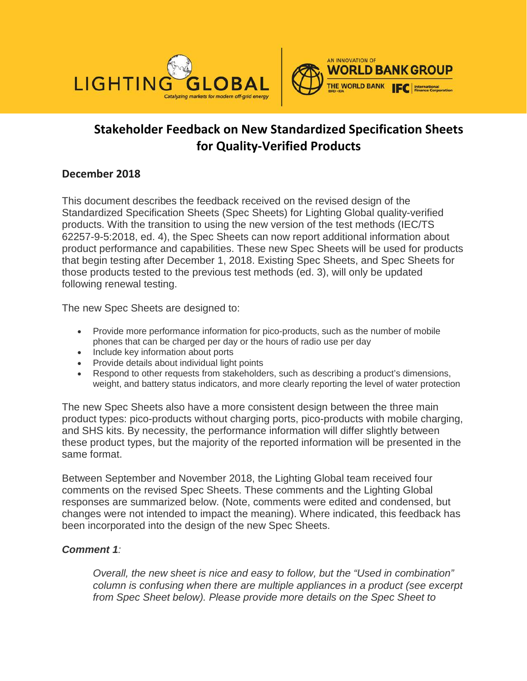



# **Stakeholder Feedback on New Standardized Specification Sheets for Quality-Verified Products**

# **December 2018**

This document describes the feedback received on the revised design of the Standardized Specification Sheets (Spec Sheets) for Lighting Global quality-verified products. With the transition to using the new version of the test methods (IEC/TS 62257-9-5:2018, ed. 4), the Spec Sheets can now report additional information about product performance and capabilities. These new Spec Sheets will be used for products that begin testing after December 1, 2018. Existing Spec Sheets, and Spec Sheets for those products tested to the previous test methods (ed. 3), will only be updated following renewal testing.

The new Spec Sheets are designed to:

- Provide more performance information for pico-products, such as the number of mobile phones that can be charged per day or the hours of radio use per day
- Include key information about ports
- Provide details about individual light points
- Respond to other requests from stakeholders, such as describing a product's dimensions, weight, and battery status indicators, and more clearly reporting the level of water protection

The new Spec Sheets also have a more consistent design between the three main product types: pico-products without charging ports, pico-products with mobile charging, and SHS kits. By necessity, the performance information will differ slightly between these product types, but the majority of the reported information will be presented in the same format.

Between September and November 2018, the Lighting Global team received four comments on the revised Spec Sheets. These comments and the Lighting Global responses are summarized below. (Note, comments were edited and condensed, but changes were not intended to impact the meaning). Where indicated, this feedback has been incorporated into the design of the new Spec Sheets.

# *Comment 1:*

*Overall, the new sheet is nice and easy to follow, but the "Used in combination" column is confusing when there are multiple appliances in a product (see excerpt from Spec Sheet below). Please provide more details on the Spec Sheet to*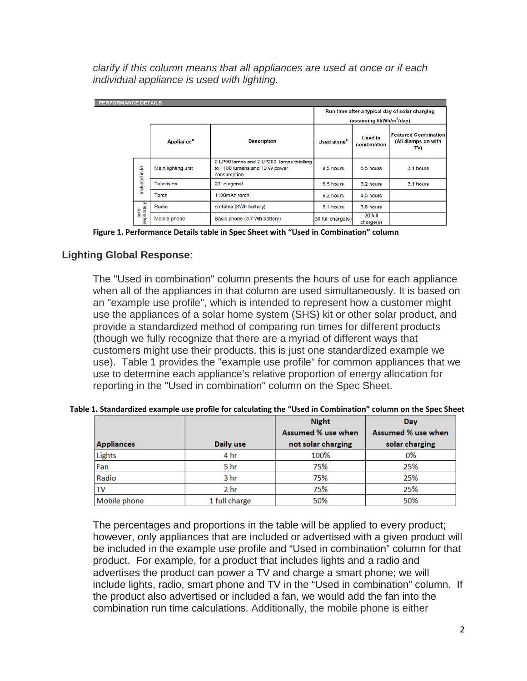*clarify if this column means that all appliances are used at once or if each individual appliance is used with lighting.*

| <b>PERFORMANCE DETAILS</b> |                     |                               |                                                                                          |                                                |                               |                                                           |  |  |  |
|----------------------------|---------------------|-------------------------------|------------------------------------------------------------------------------------------|------------------------------------------------|-------------------------------|-----------------------------------------------------------|--|--|--|
|                            |                     |                               |                                                                                          | Run time after a typical day of solar charging |                               |                                                           |  |  |  |
|                            |                     |                               |                                                                                          | (assuming 5kWh/m <sup>2</sup> /day)            |                               |                                                           |  |  |  |
|                            |                     | <b>Appliance</b> <sup>a</sup> | <b>Description</b>                                                                       | Used alone <sup>b</sup>                        | <b>Used in</b><br>combination | <b>Featured Combination</b><br>(All 4lamps on with<br>TV) |  |  |  |
|                            | ž<br>£.<br>included | Main lighting unit            | 2 LP00 lamps and 2 LP200 lamps totalling<br>to 1100 lumens and 10 W power<br>consumption | 9.5 hours                                      | 5.5 hours                     | 3.1 hours                                                 |  |  |  |
|                            |                     | Television                    | 20" diagonal                                                                             | 5.5 hours                                      | 3.2 hours                     | 3.1 hours                                                 |  |  |  |
|                            |                     | Torch                         | 1100mAh torch                                                                            | 6.2 hours                                      | 4.5 hours                     |                                                           |  |  |  |
|                            | separately<br>sold  | Radio                         | portable (3Wh battery)                                                                   | 5.1 hours                                      | 3.6 hours                     |                                                           |  |  |  |
|                            |                     | Mobile phone                  | Basic phone (3.7 Wh battery)                                                             | 30 full charge(s)                              | 20 full<br>charge(s)          |                                                           |  |  |  |

**Figure 1. Performance Details table in Spec Sheet with "Used in Combination" column**

# **Lighting Global Response**:

The "Used in combination" column presents the hours of use for each appliance when all of the appliances in that column are used simultaneously. It is based on an "example use profile", which is intended to represent how a customer might use the appliances of a solar home system (SHS) kit or other solar product, and provide a standardized method of comparing run times for different products (though we fully recognize that there are a myriad of different ways that customers might use their products, this is just one standardized example we use). Table 1 provides the "example use profile" for common appliances that we use to determine each appliance's relative proportion of energy allocation for reporting in the "Used in combination" column on the Spec Sheet.

|                   |                 | <b>Night</b>       | Day                |
|-------------------|-----------------|--------------------|--------------------|
|                   |                 | Assumed % use when | Assumed % use when |
| <b>Appliances</b> | Daily use       | not solar charging | solar charging     |
| Lights            | 4 hr            | 100%               | 0%                 |
| Fan               | 5 hr            | 75%                | 25%                |
| Radio             | 3 <sub>hr</sub> | 75%                | 25%                |
| TV                | 2 <sub>hr</sub> | 75%                | 25%                |
| Mobile phone      | 1 full charge   | 50%                | 50%                |

 **Table 1. Standardized example use profile for calculating the "Used in Combination" column on the Spec Sheet**

The percentages and proportions in the table will be applied to every product; however, only appliances that are included or advertised with a given product will be included in the example use profile and "Used in combination" column for that product. For example, for a product that includes lights and a radio and advertises the product can power a TV and charge a smart phone; we will include lights, radio, smart phone and TV in the "Used in combination" column. If the product also advertised or included a fan, we would add the fan into the combination run time calculations. Additionally, the mobile phone is either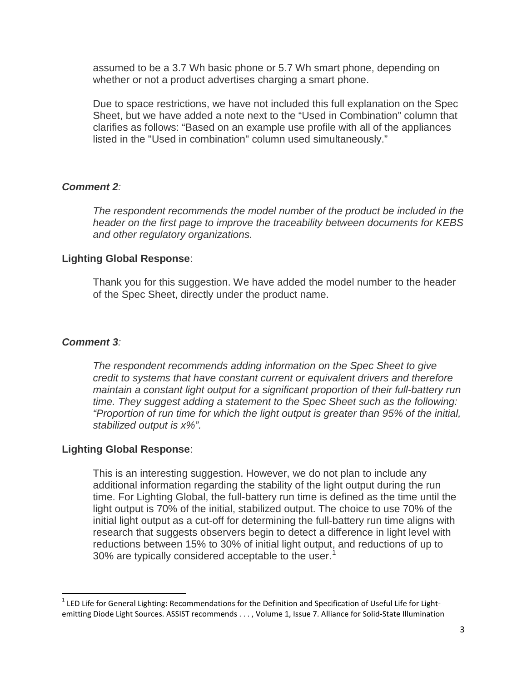assumed to be a 3.7 Wh basic phone or 5.7 Wh smart phone, depending on whether or not a product advertises charging a smart phone.

Due to space restrictions, we have not included this full explanation on the Spec Sheet, but we have added a note next to the "Used in Combination" column that clarifies as follows: "Based on an example use profile with all of the appliances listed in the "Used in combination" column used simultaneously."

#### *Comment 2:*

*The respondent recommends the model number of the product be included in the header on the first page to improve the traceability between documents for KEBS and other regulatory organizations.*

#### **Lighting Global Response**:

Thank you for this suggestion. We have added the model number to the header of the Spec Sheet, directly under the product name.

#### *Comment 3:*

*The respondent recommends adding information on the Spec Sheet to give credit to systems that have constant current or equivalent drivers and therefore maintain a constant light output for a significant proportion of their full-battery run time. They suggest adding a statement to the Spec Sheet such as the following: "Proportion of run time for which the light output is greater than 95% of the initial, stabilized output is x%".*

# **Lighting Global Response**:

This is an interesting suggestion. However, we do not plan to include any additional information regarding the stability of the light output during the run time. For Lighting Global, the full-battery run time is defined as the time until the light output is 70% of the initial, stabilized output. The choice to use 70% of the initial light output as a cut-off for determining the full-battery run time aligns with research that suggests observers begin to detect a difference in light level with reductions between 15% to 30% of initial light output, and reductions of up to 30% are typically considered acceptable to the user.<sup>[1](#page-2-0)</sup>

<span id="page-2-0"></span> $1$  LED Life for General Lighting: Recommendations for the Definition and Specification of Useful Life for Lightemitting Diode Light Sources. ASSIST recommends . . . , Volume 1, Issue 7. Alliance for Solid-State Illumination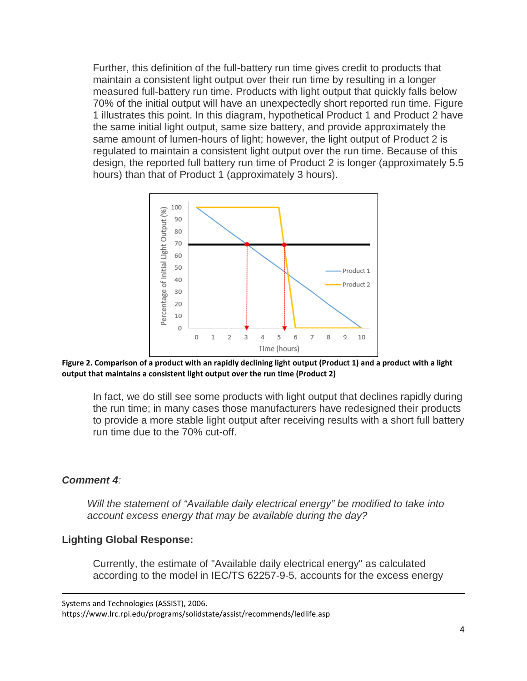Further, this definition of the full-battery run time gives credit to products that maintain a consistent light output over their run time by resulting in a longer measured full-battery run time. Products with light output that quickly falls below 70% of the initial output will have an unexpectedly short reported run time. Figure 1 illustrates this point. In this diagram, hypothetical Product 1 and Product 2 have the same initial light output, same size battery, and provide approximately the same amount of lumen-hours of light; however, the light output of Product 2 is regulated to maintain a consistent light output over the run time. Because of this design, the reported full battery run time of Product 2 is longer (approximately 5.5 hours) than that of Product 1 (approximately 3 hours).



**Figure 2. Comparison of a product with an rapidly declining light output (Product 1) and a product with a light output that maintains a consistent light output over the run time (Product 2)**

In fact, we do still see some products with light output that declines rapidly during the run time; in many cases those manufacturers have redesigned their products to provide a more stable light output after receiving results with a short full battery run time due to the 70% cut-off.

# *Comment 4:*

 $\overline{\phantom{a}}$ 

*Will the statement of "Available daily electrical energy" be modified to take into account excess energy that may be available during the day?*

# **Lighting Global Response:**

Currently, the estimate of "Available daily electrical energy" as calculated according to the model in IEC/TS 62257-9-5, accounts for the excess energy

Systems and Technologies (ASSIST), 2006.

https://www.lrc.rpi.edu/programs/solidstate/assist/recommends/ledlife.asp